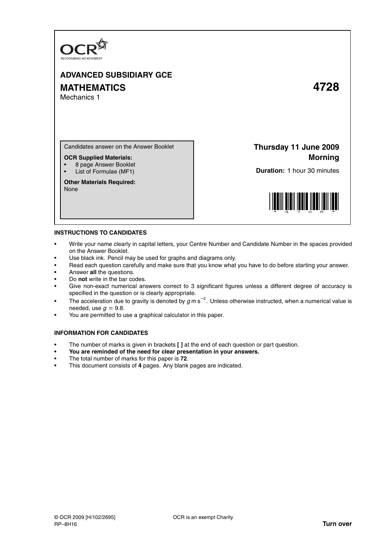

# **ADVANCED SUBSIDIARY GCE MATHEMATICS 4728** Mechanics 1

Candidates answer on the Answer Booklet

## **OCR Supplied Materials:**

- 8 page Answer Booklet
- List of Formulae (MF1)

**Other Materials Required:** None

**Thursday 11 June 2009 Morning**

**Duration:** 1 hour 30 minutes



#### **INSTRUCTIONS TO CANDIDATES**

- Write your name clearly in capital letters, your Centre Number and Candidate Number in the spaces provided on the Answer Booklet.
- Use black ink. Pencil may be used for graphs and diagrams only.
- Read each question carefully and make sure that you know what you have to do before starting your answer.
- Answer **all** the questions.
- Do **not** write in the bar codes.
- Give non-exact numerical answers correct to 3 significant figures unless a different degree of accuracy is specified in the question or is clearly appropriate.
- The acceleration due to gravity is denoted by  $g$  m s<sup>-2</sup>. Unless otherwise instructed, when a numerical value is needed, use  $q = 9.8$ .
- You are permitted to use a graphical calculator in this paper.

### **INFORMATION FOR CANDIDATES**

- The number of marks is given in brackets **[ ]** at the end of each question or part question.
- **You are reminded of the need for clear presentation in your answers.**
- The total number of marks for this paper is **72**.
- This document consists of **4** pages. Any blank pages are indicated.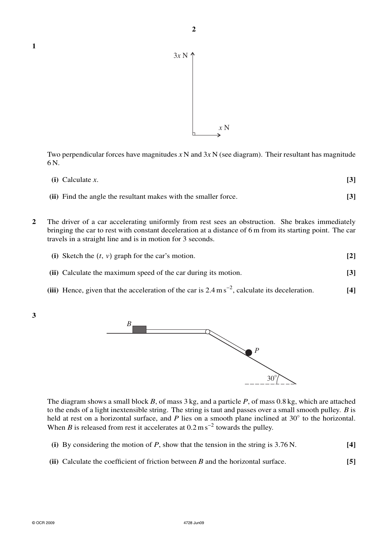

Two perpendicular forces have magnitudes *x* N and 3*x* N (see diagram). Their resultant has magnitude 6 N.

| $(i)$ Calculate x.                                              |  |
|-----------------------------------------------------------------|--|
| (ii) Find the angle the resultant makes with the smaller force. |  |

**2** The driver of a car accelerating uniformly from rest sees an obstruction. She brakes immediately bringing the car to rest with constant deceleration at a distance of 6 m from its starting point. The car travels in a straight line and is in motion for 3 seconds.

|  | (i) Sketch the $(t, v)$ graph for the car's motion. |  |
|--|-----------------------------------------------------|--|
|--|-----------------------------------------------------|--|

- **(ii)** Calculate the maximum speed of the car during its motion. **[3]**
- **(iii)** Hence, given that the acceleration of the car is 2.4 m s<sup>−</sup><sup>2</sup> , calculate its deceleration. **[4]**
- **3**

**1**



The diagram shows a small block *B*, of mass 3 kg, and a particle *P*, of mass 0.8 kg, which are attached to the ends of a light inextensible string. The string is taut and passes over a small smooth pulley. *B* is held at rest on a horizontal surface, and *P* lies on a smooth plane inclined at 30° to the horizontal. When *B* is released from rest it accelerates at  $0.2 \text{ m s}^{-2}$  towards the pulley.

- **(i)** By considering the motion of *P*, show that the tension in the string is 3.76 N. **[4]**
- **(ii)** Calculate the coefficient of friction between *B* and the horizontal surface. **[5]**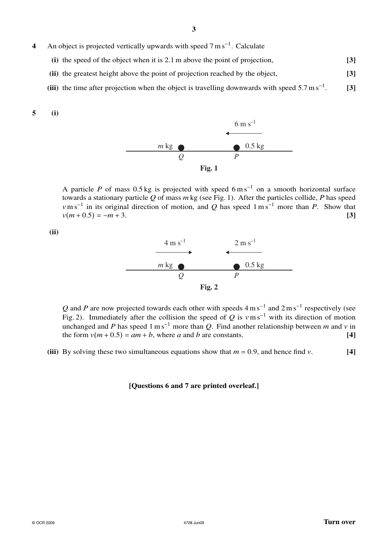- 4 An object is projected vertically upwards with speed 7 m s<sup>-1</sup>. Calculate
	- **(i)** the speed of the object when it is 2.1 m above the point of projection, **[3]**
	- **(ii)** the greatest height above the point of projection reached by the object, **[3]**
	- (iii) the time after projection when the object is travelling downwards with speed  $5.7 \text{ m s}^{-1}$ . . **[3]**

**5 (i)**



A particle *P* of mass 0.5 kg is projected with speed  $6 \text{ m s}^{-1}$  on a smooth horizontal surface towards a stationary particle  $\overline{Q}$  of mass  $m$  kg (see Fig. 1). After the particles collide,  $P$  has speed *v*m s<sup>−1</sup> in its original direction of motion, and *Q* has speed 1 m s<sup>−1</sup> more than *P*. Show that  $v(m+0.5) = -m+3.$  **[3]** 

**(ii)**



Q and P are now projected towards each other with speeds  $4 \text{ m s}^{-1}$  and  $2 \text{ m s}^{-1}$  respectively (see Fig. 2). Immediately after the collision the speed of *Q* is  $v \text{ m s}^{-1}$  with its direction of motion unchanged and *P* has speed  $1 \text{ m s}^{-1}$  more than *Q*. Find another relationship between *m* and *v* in the form  $v(m + 0.5) = am + b$ , where *a* and *b* are constants. [4]

**(iii)** By solving these two simultaneous equations show that  $m = 0.9$ , and hence find *v*. [4]

### **[Questions 6 and 7 are printed overleaf.]**